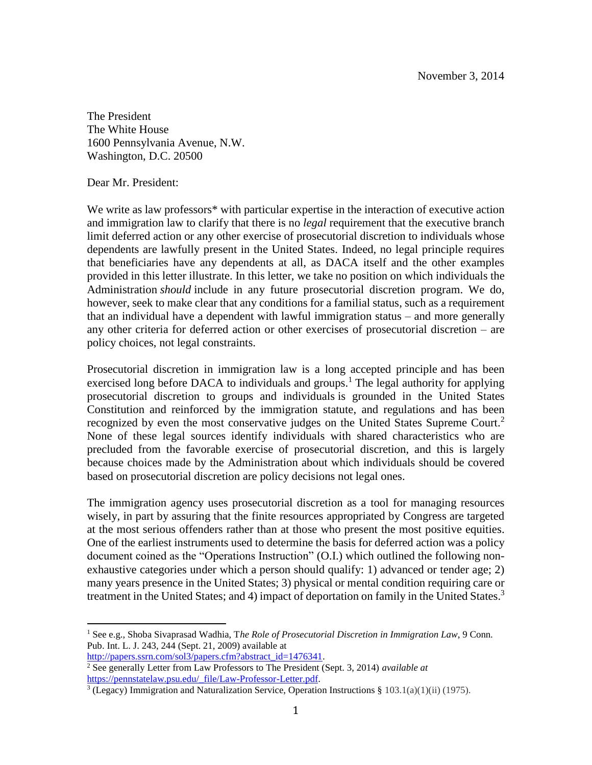The President The White House 1600 Pennsylvania Avenue, N.W. Washington, D.C. 20500

Dear Mr. President:

We write as law professors<sup>\*</sup> with particular expertise in the interaction of executive action and immigration law to clarify that there is no *legal* requirement that the executive branch limit deferred action or any other exercise of prosecutorial discretion to individuals whose dependents are lawfully present in the United States. Indeed, no legal principle requires that beneficiaries have any dependents at all, as DACA itself and the other examples provided in this letter illustrate. In this letter, we take no position on which individuals the Administration *should* include in any future prosecutorial discretion program. We do, however, seek to make clear that any conditions for a familial status, such as a requirement that an individual have a dependent with lawful immigration status – and more generally any other criteria for deferred action or other exercises of prosecutorial discretion – are policy choices, not legal constraints.

Prosecutorial discretion in immigration law is a long accepted principle and has been exercised long before DACA to individuals and groups.<sup>1</sup> The legal authority for applying prosecutorial discretion to groups and individuals is grounded in the United States Constitution and reinforced by the immigration statute, and regulations and has been recognized by even the most conservative judges on the United States Supreme Court.<sup>2</sup> None of these legal sources identify individuals with shared characteristics who are precluded from the favorable exercise of prosecutorial discretion, and this is largely because choices made by the Administration about which individuals should be covered based on prosecutorial discretion are policy decisions not legal ones.

The immigration agency uses prosecutorial discretion as a tool for managing resources wisely, in part by assuring that the finite resources appropriated by Congress are targeted at the most serious offenders rather than at those who present the most positive equities. One of the earliest instruments used to determine the basis for deferred action was a policy document coined as the "Operations Instruction" (O.I.) which outlined the following nonexhaustive categories under which a person should qualify: 1) advanced or tender age; 2) many years presence in the United States; 3) physical or mental condition requiring care or treatment in the United States; and 4) impact of deportation on family in the United States.<sup>3</sup>

[https://pennstatelaw.psu.edu/\\_file/Law-Professor-Letter.pdf.](https://pennstatelaw.psu.edu/_file/Law-Professor-Letter.pdf)

 $\overline{a}$ <sup>1</sup> See e.g., Shoba Sivaprasad Wadhia, The Role of Prosecutorial Discretion in Immigration Law, 9 Conn. Pub. Int. L. J. 243, 244 (Sept. 21, 2009) available at

[http://papers.ssrn.com/sol3/papers.cfm?abstract\\_id=1476341.](http://papers.ssrn.com/sol3/papers.cfm?abstract_id=1476341) <sup>2</sup> See generally Letter from Law Professors to The President (Sept. 3, 2014) *available at*

<sup>&</sup>lt;sup>3</sup> (Legacy) Immigration and Naturalization Service, Operation Instructions § 103.1(a)(1)(ii) (1975).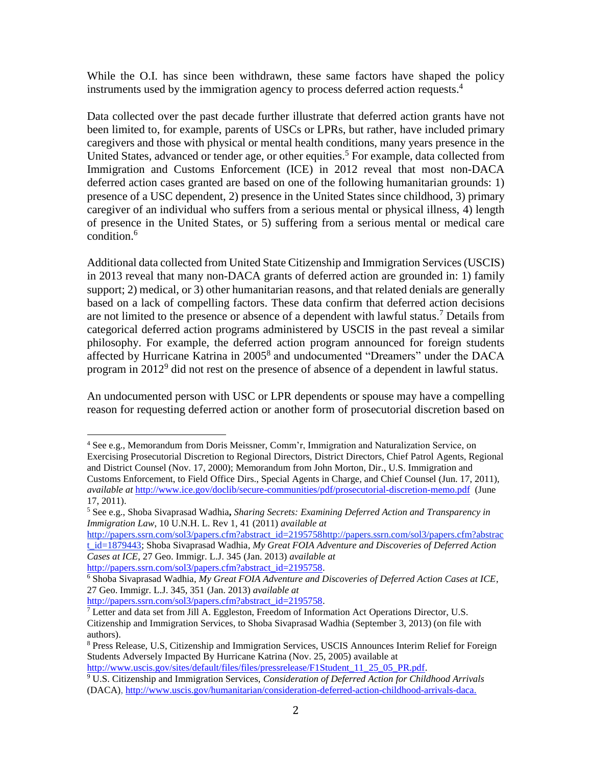While the O.I. has since been withdrawn, these same factors have shaped the policy instruments used by the immigration agency to process deferred action requests. 4

Data collected over the past decade further illustrate that deferred action grants have not been limited to, for example, parents of USCs or LPRs, but rather, have included primary caregivers and those with physical or mental health conditions, many years presence in the United States, advanced or tender age, or other equities.<sup>5</sup> For example, data collected from Immigration and Customs Enforcement (ICE) in 2012 reveal that most non-DACA deferred action cases granted are based on one of the following humanitarian grounds: 1) presence of a USC dependent, 2) presence in the United States since childhood, 3) primary caregiver of an individual who suffers from a serious mental or physical illness, 4) length of presence in the United States, or 5) suffering from a serious mental or medical care condition.<sup>6</sup>

Additional data collected from United State Citizenship and Immigration Services (USCIS) in 2013 reveal that many non-DACA grants of deferred action are grounded in: 1) family support; 2) medical, or 3) other humanitarian reasons, and that related denials are generally based on a lack of compelling factors. These data confirm that deferred action decisions are not limited to the presence or absence of a dependent with lawful status.<sup>7</sup> Details from categorical deferred action programs administered by USCIS in the past reveal a similar philosophy. For example, the deferred action program announced for foreign students affected by Hurricane Katrina in 2005 8 and undocumented "Dreamers" under the DACA program in 2012<sup>9</sup> did not rest on the presence of absence of a dependent in lawful status.

An undocumented person with USC or LPR dependents or spouse may have a compelling reason for requesting deferred action or another form of prosecutorial discretion based on

27 Geo. Immigr. L.J. 345, 351 (Jan. 2013) *available at*

 $\overline{a}$ <sup>4</sup> See e.g., Memorandum from Doris Meissner, Comm'r, Immigration and Naturalization Service, on Exercising Prosecutorial Discretion to Regional Directors, District Directors, Chief Patrol Agents, Regional and District Counsel (Nov. 17, 2000); Memorandum from John Morton, Dir., U.S. Immigration and Customs Enforcement, to Field Office Dirs., Special Agents in Charge, and Chief Counsel (Jun. 17, 2011), *available at* <http://www.ice.gov/doclib/secure-communities/pdf/prosecutorial-discretion-memo.pdf>(June 17, 2011).

<sup>5</sup> See e.g., Shoba Sivaprasad Wadhia**,** *Sharing Secrets: Examining Deferred Action and Transparency in Immigration Law*, 10 U.N.H. L. Rev 1, 41 (2011) *available at*

http://papers.ssrn.com/sol3/papers.cfm?abstract\_id=219575[8http://papers.ssrn.com/sol3/papers.cfm?abstrac](http://papers.ssrn.com/sol3/papers.cfm?abstract_id=1879443) [t\\_id=1879443;](http://papers.ssrn.com/sol3/papers.cfm?abstract_id=1879443) Shoba Sivaprasad Wadhia*, My Great FOIA Adventure and Discoveries of Deferred Action Cases at ICE*, 27 Geo. Immigr. L.J. 345 (Jan. 2013) *available at* [http://papers.ssrn.com/sol3/papers.cfm?abstract\\_id=2195758.](http://papers.ssrn.com/sol3/papers.cfm?abstract_id=2195758)

<sup>6</sup> Shoba Sivaprasad Wadhia*, My Great FOIA Adventure and Discoveries of Deferred Action Cases at ICE*,

[http://papers.ssrn.com/sol3/papers.cfm?abstract\\_id=2195758.](http://papers.ssrn.com/sol3/papers.cfm?abstract_id=2195758)

 $\frac{7}{7}$  Letter and data set from Jill A. Eggleston, Freedom of Information Act Operations Director, U.S. Citizenship and Immigration Services, to Shoba Sivaprasad Wadhia (September 3, 2013) (on file with authors).

<sup>8</sup> Press Release, U.S, Citizenship and Immigration Services, USCIS Announces Interim Relief for Foreign Students Adversely Impacted By Hurricane Katrina (Nov. 25, 2005) available at

[http://www.uscis.gov/sites/default/files/files/pressrelease/F1Student\\_11\\_25\\_05\\_PR.pdf.](http://www.uscis.gov/sites/default/files/files/pressrelease/F1Student_11_25_05_PR.pdf)

<sup>9</sup> U.S. Citizenship and Immigration Services, *Consideration of Deferred Action for Childhood Arrivals*  (DACA), [http://www.uscis.gov/humanitarian/consideration-deferred-action-childhood-arrivals-daca.](http://www.uscis.gov/humanitarian/consideration-deferred-action-childhood-arrivals-daca)